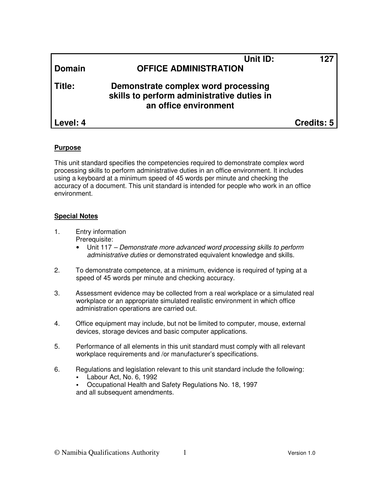| <b>Domain</b> | Unit ID:<br><b>OFFICE ADMINISTRATION</b>                                                                   | 127        |
|---------------|------------------------------------------------------------------------------------------------------------|------------|
| Title:        | Demonstrate complex word processing<br>skills to perform administrative duties in<br>an office environment |            |
| Level: 4      |                                                                                                            | Credits: 5 |

## **Purpose**

This unit standard specifies the competencies required to demonstrate complex word processing skills to perform administrative duties in an office environment. It includes using a keyboard at a minimum speed of 45 words per minute and checking the accuracy of a document. This unit standard is intended for people who work in an office environment.

#### **Special Notes**

- 1. Entry information Prerequisite:
	- Unit 117 Demonstrate more advanced word processing skills to perform administrative duties or demonstrated equivalent knowledge and skills.
- 2. To demonstrate competence, at a minimum, evidence is required of typing at a speed of 45 words per minute and checking accuracy.
- 3. Assessment evidence may be collected from a real workplace or a simulated real workplace or an appropriate simulated realistic environment in which office administration operations are carried out.
- 4. Office equipment may include, but not be limited to computer, mouse, external devices, storage devices and basic computer applications.
- 5. Performance of all elements in this unit standard must comply with all relevant workplace requirements and /or manufacturer's specifications.
- 6. Regulations and legislation relevant to this unit standard include the following:
	- Labour Act, No. 6, 1992
	- Occupational Health and Safety Regulations No. 18, 1997 and all subsequent amendments.